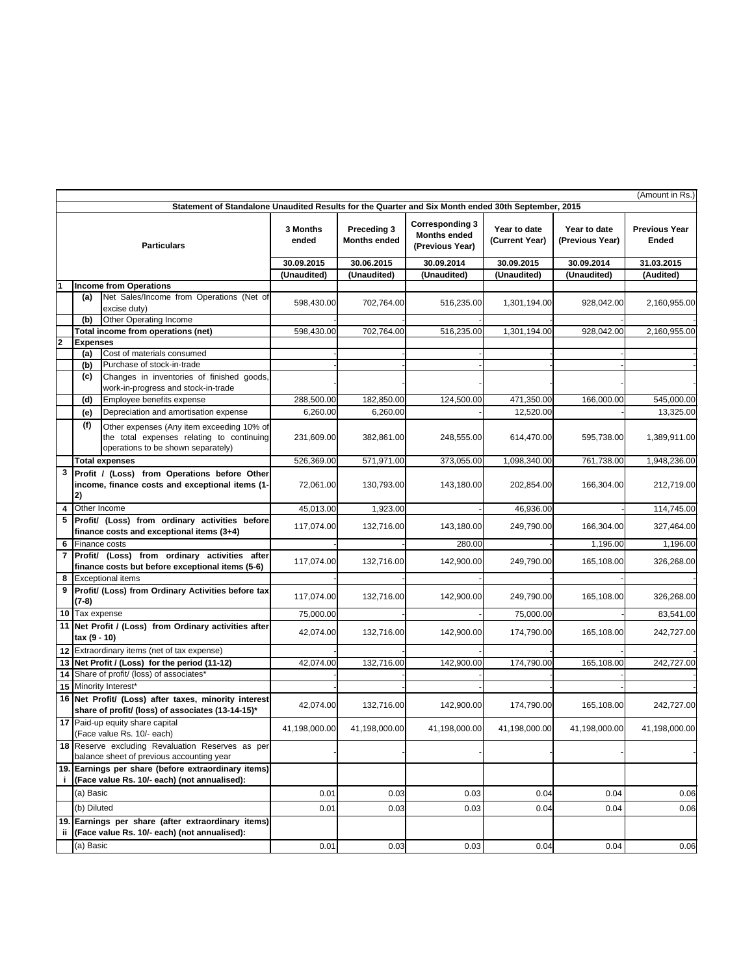| (Amount in Rs.)                                                                                    |                                                                                                    |                                                                                                                              |                   |                                    |                                                                  |                                |                                 |                               |
|----------------------------------------------------------------------------------------------------|----------------------------------------------------------------------------------------------------|------------------------------------------------------------------------------------------------------------------------------|-------------------|------------------------------------|------------------------------------------------------------------|--------------------------------|---------------------------------|-------------------------------|
| Statement of Standalone Unaudited Results for the Quarter and Six Month ended 30th September, 2015 |                                                                                                    |                                                                                                                              |                   |                                    |                                                                  |                                |                                 |                               |
| <b>Particulars</b>                                                                                 |                                                                                                    |                                                                                                                              | 3 Months<br>ended | Preceding 3<br><b>Months ended</b> | <b>Corresponding 3</b><br><b>Months ended</b><br>(Previous Year) | Year to date<br>(Current Year) | Year to date<br>(Previous Year) | <b>Previous Year</b><br>Ended |
|                                                                                                    |                                                                                                    |                                                                                                                              | 30.09.2015        | 30.06.2015                         | 30.09.2014                                                       | 30.09.2015                     | 30.09.2014                      | 31.03.2015                    |
|                                                                                                    |                                                                                                    |                                                                                                                              | (Unaudited)       | (Unaudited)                        | (Unaudited)                                                      | (Unaudited)                    | (Unaudited)                     | (Audited)                     |
|                                                                                                    |                                                                                                    | <b>Income from Operations</b>                                                                                                |                   |                                    |                                                                  |                                |                                 |                               |
|                                                                                                    | (a)                                                                                                | Net Sales/Income from Operations (Net of<br>excise duty)                                                                     | 598,430.00        | 702,764.00                         | 516,235.00                                                       | 1,301,194.00                   | 928,042.00                      | 2,160,955.00                  |
|                                                                                                    | (b)                                                                                                | Other Operating Income                                                                                                       |                   |                                    |                                                                  |                                |                                 |                               |
|                                                                                                    |                                                                                                    | Total income from operations (net)                                                                                           | 598,430.00        | 702,764.00                         | 516,235.00                                                       | 1,301,194.00                   | 928,042.00                      | 2,160,955.00                  |
| $\overline{\mathbf{2}}$                                                                            | <b>Expenses</b>                                                                                    |                                                                                                                              |                   |                                    |                                                                  |                                |                                 |                               |
|                                                                                                    | (a)                                                                                                | Cost of materials consumed                                                                                                   |                   |                                    |                                                                  |                                |                                 |                               |
|                                                                                                    | (b)<br>(c)                                                                                         | Purchase of stock-in-trade<br>Changes in inventories of finished goods,<br>work-in-progress and stock-in-trade               |                   |                                    |                                                                  |                                |                                 |                               |
|                                                                                                    | (d)                                                                                                | Employee benefits expense                                                                                                    | 288,500.00        | 182,850.00                         | 124,500.00                                                       | 471,350.00                     | 166,000.00                      | 545,000.00                    |
|                                                                                                    | (e)                                                                                                | Depreciation and amortisation expense                                                                                        | 6,260.00          | 6,260.00                           |                                                                  | 12,520.00                      |                                 | 13,325.00                     |
|                                                                                                    | (f)                                                                                                | Other expenses (Any item exceeding 10% of<br>the total expenses relating to continuing<br>operations to be shown separately) | 231,609.00        | 382,861.00                         | 248,555.00                                                       | 614,470.00                     | 595,738.00                      | 1,389,911.00                  |
|                                                                                                    |                                                                                                    | <b>Total expenses</b>                                                                                                        | 526,369.00        | 571,971.00                         | 373,055.00                                                       | 1,098,340.00                   | 761,738.00                      | 1,948,236.00                  |
| 3                                                                                                  | 2)                                                                                                 | Profit / (Loss) from Operations before Other<br>income, finance costs and exceptional items (1-                              | 72,061.00         | 130,793.00                         | 143,180.00                                                       | 202,854.00                     | 166,304.00                      | 212,719.00                    |
|                                                                                                    | 4 Other Income                                                                                     |                                                                                                                              | 45,013.00         | 1,923.00                           |                                                                  | 46,936.00                      |                                 | 114,745.00                    |
|                                                                                                    |                                                                                                    | 5 Profit/ (Loss) from ordinary activities before<br>finance costs and exceptional items (3+4)                                | 117,074.00        | 132,716.00                         | 143,180.00                                                       | 249,790.00                     | 166,304.00                      | 327,464.00                    |
| 6                                                                                                  | Finance costs                                                                                      |                                                                                                                              |                   |                                    | 280.00                                                           |                                | 1,196.00                        | 1,196.00                      |
|                                                                                                    |                                                                                                    | 7 Profit/ (Loss) from ordinary activities after<br>finance costs but before exceptional items (5-6)                          | 117,074.00        | 132,716.00                         | 142,900.00                                                       | 249,790.00                     | 165,108.00                      | 326,268.00                    |
| 8                                                                                                  |                                                                                                    | <b>Exceptional items</b>                                                                                                     |                   |                                    |                                                                  |                                |                                 |                               |
| 9                                                                                                  | Profit/ (Loss) from Ordinary Activities before tax<br>(7-8)                                        |                                                                                                                              | 117,074.00        | 132,716.00                         | 142,900.00                                                       | 249,790.00                     | 165,108.00                      | 326,268.00                    |
|                                                                                                    | 10 Tax expense                                                                                     |                                                                                                                              | 75,000.00         |                                    |                                                                  | 75,000.00                      |                                 | 83,541.00                     |
|                                                                                                    | 11 Net Profit / (Loss) from Ordinary activities after<br>tax (9 - 10)                              |                                                                                                                              | 42,074.00         | 132,716.00                         | 142,900.00                                                       | 174,790.00                     | 165,108.00                      | 242,727.00                    |
|                                                                                                    | 12 Extraordinary items (net of tax expense)                                                        |                                                                                                                              |                   |                                    |                                                                  |                                |                                 |                               |
|                                                                                                    |                                                                                                    | 13 Net Profit / (Loss) for the period (11-12)                                                                                | 42,074.00         | 132,716.00                         | 142,900.00                                                       | 174,790.00                     | 165,108.00                      | 242,727.00                    |
|                                                                                                    |                                                                                                    | 14 Share of profit/ (loss) of associates*                                                                                    |                   |                                    |                                                                  |                                |                                 |                               |
|                                                                                                    | 15 Minority Interest*                                                                              |                                                                                                                              |                   |                                    |                                                                  |                                |                                 |                               |
|                                                                                                    |                                                                                                    | 16 Net Profit/ (Loss) after taxes, minority interest<br>share of profit/ (loss) of associates (13-14-15)*                    | 42,074.00         | 132,716.00                         | 142,900.00                                                       | 174,790.00                     | 165,108.00                      | 242,727.00                    |
|                                                                                                    |                                                                                                    | 17 Paid-up equity share capital<br>(Face value Rs. 10/- each)                                                                | 41,198,000.00     | 41,198,000.00                      | 41,198,000.00                                                    | 41,198,000.00                  | 41,198,000.00                   | 41,198,000.00                 |
|                                                                                                    |                                                                                                    | 18 Reserve excluding Revaluation Reserves as per<br>balance sheet of previous accounting year                                |                   |                                    |                                                                  |                                |                                 |                               |
| j.                                                                                                 |                                                                                                    | 19. Earnings per share (before extraordinary items)<br>(Face value Rs. 10/- each) (not annualised):                          |                   |                                    |                                                                  |                                |                                 |                               |
|                                                                                                    | (a) Basic                                                                                          |                                                                                                                              | 0.01              | 0.03                               | 0.03                                                             | 0.04                           | 0.04                            | 0.06                          |
|                                                                                                    | (b) Diluted                                                                                        |                                                                                                                              | 0.01              | 0.03                               | 0.03                                                             | 0.04                           | 0.04                            | 0.06                          |
| ii.                                                                                                | 19. Earnings per share (after extraordinary items)<br>(Face value Rs. 10/- each) (not annualised): |                                                                                                                              |                   |                                    |                                                                  |                                |                                 |                               |
|                                                                                                    | (a) Basic                                                                                          |                                                                                                                              | 0.01              | 0.03                               | 0.03                                                             | 0.04                           | 0.04                            | 0.06                          |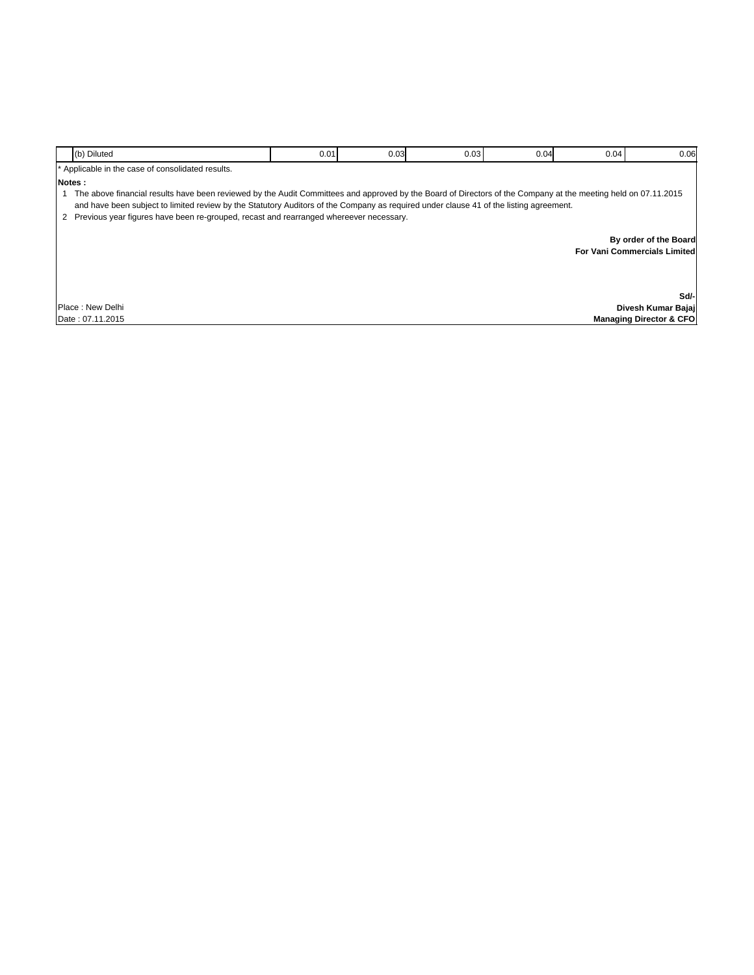|        | (b) Diluted                                                                                                                                                                                                                                                                                              | 0.01 | 0.03 | 0.03 | 0.04                                | 0.04 | 0.06                               |
|--------|----------------------------------------------------------------------------------------------------------------------------------------------------------------------------------------------------------------------------------------------------------------------------------------------------------|------|------|------|-------------------------------------|------|------------------------------------|
|        | * Applicable in the case of consolidated results.                                                                                                                                                                                                                                                        |      |      |      |                                     |      |                                    |
| Notes: |                                                                                                                                                                                                                                                                                                          |      |      |      |                                     |      |                                    |
|        | The above financial results have been reviewed by the Audit Committees and approved by the Board of Directors of the Company at the meeting held on 07.11.2015<br>and have been subject to limited review by the Statutory Auditors of the Company as required under clause 41 of the listing agreement. |      |      |      |                                     |      |                                    |
|        | 2 Previous year figures have been re-grouped, recast and rearranged whereever necessary.                                                                                                                                                                                                                 |      |      |      |                                     |      |                                    |
|        |                                                                                                                                                                                                                                                                                                          |      |      |      |                                     |      | By order of the Board              |
|        |                                                                                                                                                                                                                                                                                                          |      |      |      | <b>For Vani Commercials Limited</b> |      |                                    |
|        |                                                                                                                                                                                                                                                                                                          |      |      |      |                                     |      |                                    |
|        |                                                                                                                                                                                                                                                                                                          |      |      |      |                                     |      |                                    |
|        |                                                                                                                                                                                                                                                                                                          |      |      |      |                                     |      | Sd/-                               |
|        | Place: New Delhi                                                                                                                                                                                                                                                                                         |      |      |      |                                     |      | Divesh Kumar Bajai                 |
|        | Date: 07.11.2015                                                                                                                                                                                                                                                                                         |      |      |      |                                     |      | <b>Managing Director &amp; CFO</b> |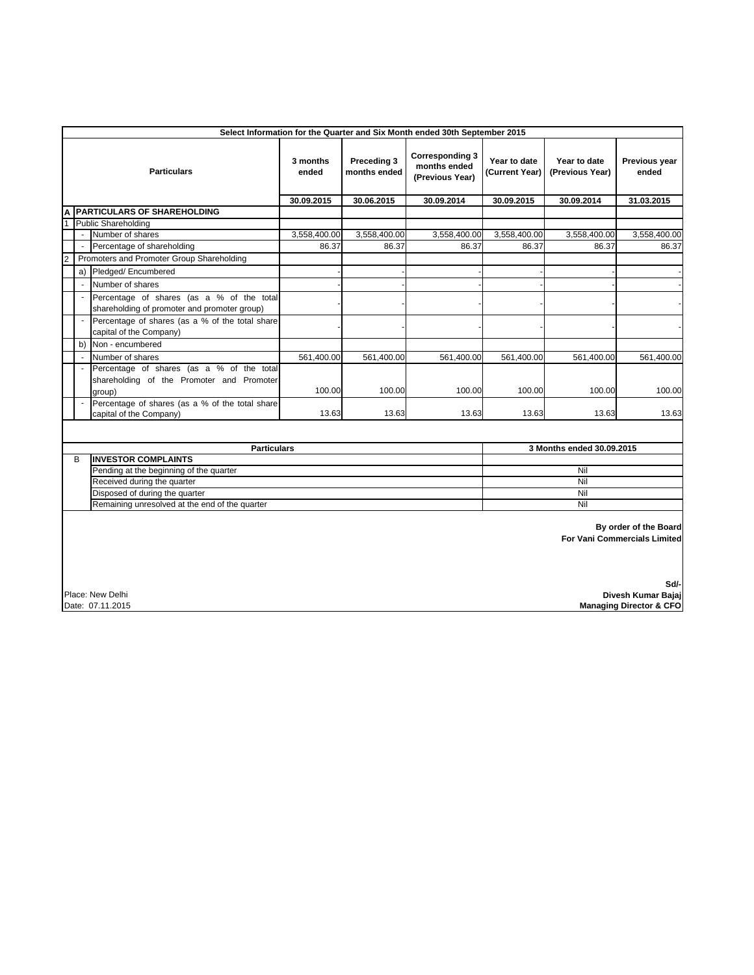|                    | Select Information for the Quarter and Six Month ended 30th September 2015                               |                                                                                                  |                             |                                                           |                                |                                 |                           |              |  |
|--------------------|----------------------------------------------------------------------------------------------------------|--------------------------------------------------------------------------------------------------|-----------------------------|-----------------------------------------------------------|--------------------------------|---------------------------------|---------------------------|--------------|--|
| <b>Particulars</b> |                                                                                                          | 3 months<br>ended                                                                                | Preceding 3<br>months ended | <b>Corresponding 3</b><br>months ended<br>(Previous Year) | Year to date<br>(Current Year) | Year to date<br>(Previous Year) | Previous year<br>ended    |              |  |
|                    |                                                                                                          |                                                                                                  | 30.09.2015                  | 30.06.2015                                                | 30.09.2014                     | 30.09.2015                      | 30.09.2014                | 31.03.2015   |  |
| A                  |                                                                                                          | <b>PARTICULARS OF SHAREHOLDING</b>                                                               |                             |                                                           |                                |                                 |                           |              |  |
|                    |                                                                                                          | <b>Public Shareholding</b>                                                                       |                             |                                                           |                                |                                 |                           |              |  |
|                    |                                                                                                          | Number of shares                                                                                 | 3,558,400.00                | 3,558,400.00                                              | 3,558,400.00                   | 3,558,400.00                    | 3,558,400.00              | 3,558,400.00 |  |
|                    | $\overline{\phantom{a}}$                                                                                 | Percentage of shareholding                                                                       | 86.37                       | 86.37                                                     | 86.37                          | 86.37                           | 86.37                     | 86.37        |  |
| $\overline{c}$     |                                                                                                          | Promoters and Promoter Group Shareholding                                                        |                             |                                                           |                                |                                 |                           |              |  |
|                    |                                                                                                          | a) Pledged/Encumbered                                                                            |                             |                                                           |                                |                                 |                           |              |  |
|                    | ÷,                                                                                                       | Number of shares                                                                                 |                             |                                                           |                                |                                 |                           |              |  |
|                    | $\blacksquare$                                                                                           | Percentage of shares (as a % of the total<br>shareholding of promoter and promoter group)        |                             |                                                           |                                |                                 |                           |              |  |
|                    |                                                                                                          | Percentage of shares (as a % of the total share<br>capital of the Company)                       |                             |                                                           |                                |                                 |                           |              |  |
|                    | b)                                                                                                       | Non - encumbered                                                                                 |                             |                                                           |                                |                                 |                           |              |  |
|                    |                                                                                                          | Number of shares                                                                                 | 561,400.00                  | 561,400.00                                                | 561,400.00                     | 561,400.00                      | 561,400.00                | 561,400.00   |  |
|                    |                                                                                                          | Percentage of shares (as a % of the total<br>shareholding of the Promoter and Promoter<br>group) | 100.00                      | 100.00                                                    | 100.00                         | 100.00                          | 100.00                    | 100.00       |  |
|                    |                                                                                                          | Percentage of shares (as a % of the total share<br>capital of the Company)                       | 13.63                       | 13.63                                                     | 13.63                          | 13.63                           | 13.63                     | 13.63        |  |
|                    |                                                                                                          |                                                                                                  |                             |                                                           |                                |                                 |                           |              |  |
|                    | <b>Particulars</b>                                                                                       |                                                                                                  |                             |                                                           |                                |                                 | 3 Months ended 30.09.2015 |              |  |
|                    | В                                                                                                        | <b>INVESTOR COMPLAINTS</b>                                                                       |                             |                                                           |                                |                                 |                           |              |  |
|                    | Pending at the beginning of the quarter                                                                  |                                                                                                  |                             |                                                           |                                | Nil                             |                           |              |  |
|                    | Received during the quarter                                                                              |                                                                                                  |                             |                                                           |                                |                                 | Nil                       |              |  |
|                    | Disposed of during the quarter                                                                           |                                                                                                  |                             |                                                           |                                |                                 | Nil                       |              |  |
|                    | Remaining unresolved at the end of the quarter                                                           |                                                                                                  |                             |                                                           |                                |                                 | Nil                       |              |  |
|                    | By order of the Board<br><b>For Vani Commercials Limited</b>                                             |                                                                                                  |                             |                                                           |                                |                                 |                           |              |  |
|                    | Sd/-<br>Place: New Delhi<br>Divesh Kumar Bajaj<br>Date: 07.11.2015<br><b>Managing Director &amp; CFO</b> |                                                                                                  |                             |                                                           |                                |                                 |                           |              |  |

 **Managing Director & CFO**